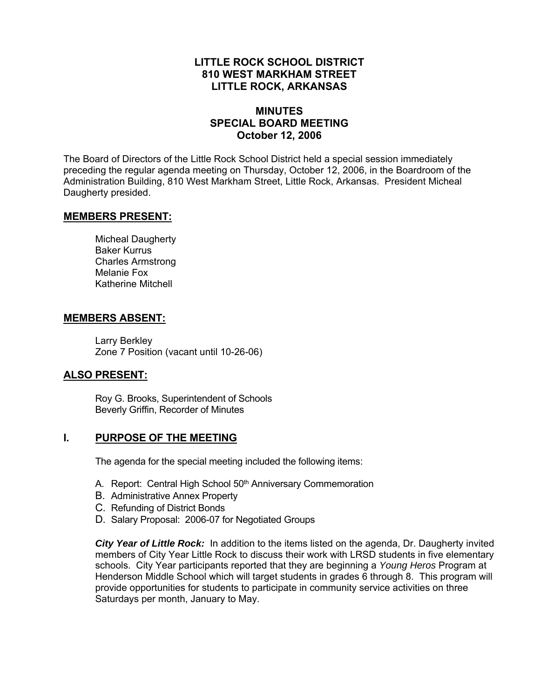### **LITTLE ROCK SCHOOL DISTRICT 810 WEST MARKHAM STREET LITTLE ROCK, ARKANSAS**

### **MINUTES SPECIAL BOARD MEETING October 12, 2006**

The Board of Directors of the Little Rock School District held a special session immediately preceding the regular agenda meeting on Thursday, October 12, 2006, in the Boardroom of the Administration Building, 810 West Markham Street, Little Rock, Arkansas. President Micheal Daugherty presided.

#### **MEMBERS PRESENT:**

Micheal Daugherty Baker Kurrus Charles Armstrong Melanie Fox Katherine Mitchell

#### **MEMBERS ABSENT:**

Larry Berkley Zone 7 Position (vacant until 10-26-06)

### **ALSO PRESENT:**

Roy G. Brooks, Superintendent of Schools Beverly Griffin, Recorder of Minutes

### **I. PURPOSE OF THE MEETING**

The agenda for the special meeting included the following items:

- A. Report: Central High School 50<sup>th</sup> Anniversary Commemoration
- B. Administrative Annex Property
- C. Refunding of District Bonds
- D. Salary Proposal: 2006-07 for Negotiated Groups

*City Year of Little Rock:* In addition to the items listed on the agenda, Dr. Daugherty invited members of City Year Little Rock to discuss their work with LRSD students in five elementary schools. City Year participants reported that they are beginning a *Young Heros* Program at Henderson Middle School which will target students in grades 6 through 8. This program will provide opportunities for students to participate in community service activities on three Saturdays per month, January to May.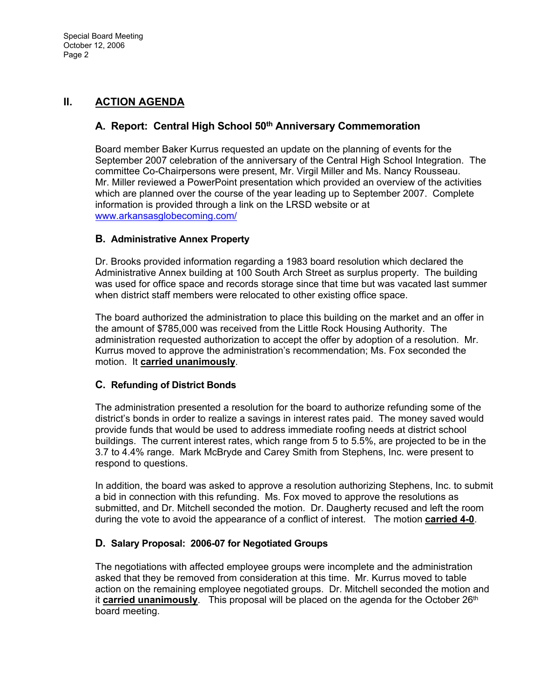## **II. ACTION AGENDA**

## A. Report: Central High School 50<sup>th</sup> Anniversary Commemoration

Board member Baker Kurrus requested an update on the planning of events for the September 2007 celebration of the anniversary of the Central High School Integration. The committee Co-Chairpersons were present, Mr. Virgil Miller and Ms. Nancy Rousseau. Mr. Miller reviewed a PowerPoint presentation which provided an overview of the activities which are planned over the course of the year leading up to September 2007. Complete information is provided through a link on the LRSD website or at www.arkansasglobecoming.com/

### **B. Administrative Annex Property**

Dr. Brooks provided information regarding a 1983 board resolution which declared the Administrative Annex building at 100 South Arch Street as surplus property. The building was used for office space and records storage since that time but was vacated last summer when district staff members were relocated to other existing office space.

The board authorized the administration to place this building on the market and an offer in the amount of \$785,000 was received from the Little Rock Housing Authority. The administration requested authorization to accept the offer by adoption of a resolution. Mr. Kurrus moved to approve the administration's recommendation; Ms. Fox seconded the motion. It **carried unanimously**.

### **C. Refunding of District Bonds**

The administration presented a resolution for the board to authorize refunding some of the district's bonds in order to realize a savings in interest rates paid. The money saved would provide funds that would be used to address immediate roofing needs at district school buildings. The current interest rates, which range from 5 to 5.5%, are projected to be in the 3.7 to 4.4% range. Mark McBryde and Carey Smith from Stephens, Inc. were present to respond to questions.

In addition, the board was asked to approve a resolution authorizing Stephens, Inc. to submit a bid in connection with this refunding. Ms. Fox moved to approve the resolutions as submitted, and Dr. Mitchell seconded the motion. Dr. Daugherty recused and left the room during the vote to avoid the appearance of a conflict of interest. The motion **carried 4-0**.

### **D. Salary Proposal: 2006-07 for Negotiated Groups**

The negotiations with affected employee groups were incomplete and the administration asked that they be removed from consideration at this time. Mr. Kurrus moved to table action on the remaining employee negotiated groups. Dr. Mitchell seconded the motion and it **carried unanimously**. This proposal will be placed on the agenda for the October 26<sup>th</sup> board meeting.